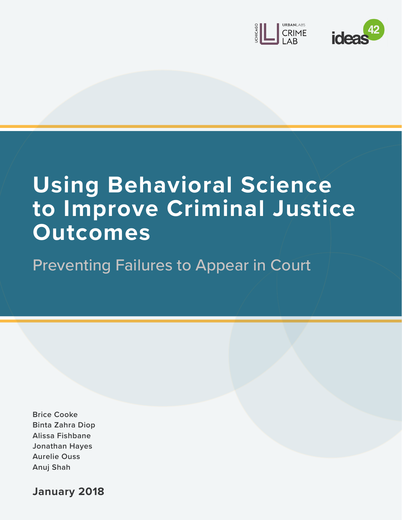



# **Using Behavioral Science to Improve Criminal Justice Outcomes**

Preventing Failures to Appear in Court

**Brice Cooke Binta Zahra Diop Alissa Fishbane Jonathan Hayes Aurelie Ouss Anuj Shah**

**January 2018**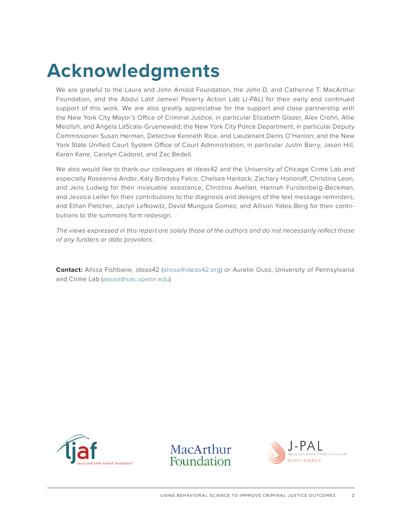# **Acknowledgments**

We are grateful to the Laura and John Arnold Foundation, the John D. and Catherine T. MacArthur Foundation, and the Abdul Latif Jameel Poverty Action Lab (J-PAL) for their early and continued support of this work. We are also greatly appreciative for the support and close partnership with the New York City Mayor's Office of Criminal Justice, in particular Elizabeth Glazer, Alex Crohn, Allie Meizlish, and Angela LaScala-Gruenewald; the New York City Police Department, in particular Deputy Commissioner Susan Herman, Detective Kenneth Rice, and Lieutenant Denis O'Hanlon; and the New York State Unified Court System Office of Court Administration, in particular Justin Barry, Jason Hill, Karen Kane, Carolyn Cadoret, and Zac Bedell.

We also would like to thank our colleagues at ideas42 and the University of Chicago Crime Lab and especially Roseanna Ander, Katy Brodsky Falco, Chelsea Hanlock, Zachary Honoroff, Christina Leon, and Jens Ludwig for their invaluable assistance, Christina Avellan, Hannah Furstenberg-Beckman, and Jessica Leifer for their contributions to the diagnosis and designs of the text message reminders, and Ethan Fletcher, Jaclyn Lefkowitz, David Munguia Gomez, and Allison Yates-Berg for their contributions to the summons form redesign.

*The views expressed in this report are solely those of the authors and do not necessarily reflect those of any funders or data providers.*

**Contact:** Alissa Fishbane, ideas42 ([alissa@ideas42.org\)](mailto:alissa%40ideas42.org?subject=Inquiry%3A%20Using%20Behavioral%20Science%20to%20Improve%20Criminal%20Justice%20Outcomes) or Aurelie Ouss, University of Pennsylvania and Crime Lab ([aouss@sas.upenn.edu](mailto:aouss%40sas.upenn.edu?subject=Inquiry%3A%20Using%20Behavioral%20Science%20to%20Improve%20Criminal%20Justice%20Outcomes))





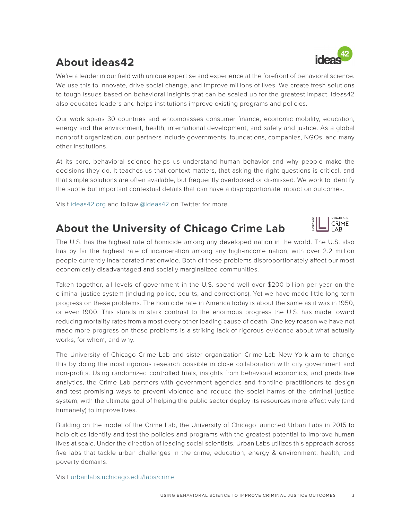### **About ideas42**

We're a leader in our field with unique expertise and experience at the forefront of behavioral science. We use this to innovate, drive social change, and improve millions of lives. We create fresh solutions to tough issues based on behavioral insights that can be scaled up for the greatest impact. ideas42 also educates leaders and helps institutions improve existing programs and policies.

Our work spans 30 countries and encompasses consumer finance, economic mobility, education, energy and the environment, health, international development, and safety and justice. As a global nonprofit organization, our partners include governments, foundations, companies, NGOs, and many other institutions.

At its core, behavioral science helps us understand human behavior and why people make the decisions they do. It teaches us that context matters, that asking the right questions is critical, and that simple solutions are often available, but frequently overlooked or dismissed. We work to identify the subtle but important contextual details that can have a disproportionate impact on outcomes.

Visit [ideas42.org](http://ideas42.org) and follow [@ideas42](http://www.twitter.com/ideas42) on Twitter for more.

### **About the University of Chicago Crime Lab**

URBANI ARS **CRIME** LAB

The U.S. has the highest rate of homicide among any developed nation in the world. The U.S. also has by far the highest rate of incarceration among any high-income nation, with over 2.2 million people currently incarcerated nationwide. Both of these problems disproportionately affect our most economically disadvantaged and socially marginalized communities.

Taken together, all levels of government in the U.S. spend well over \$200 billion per year on the criminal justice system (including police, courts, and corrections). Yet we have made little long-term progress on these problems. The homicide rate in America today is about the same as it was in 1950, or even 1900. This stands in stark contrast to the enormous progress the U.S. has made toward reducing mortality rates from almost every other leading cause of death. One key reason we have not made more progress on these problems is a striking lack of rigorous evidence about what actually works, for whom, and why.

The University of Chicago Crime Lab and sister organization Crime Lab New York aim to change this by doing the most rigorous research possible in close collaboration with city government and non-profits. Using randomized controlled trials, insights from behavioral economics, and predictive analytics, the Crime Lab partners with government agencies and frontline practitioners to design and test promising ways to prevent violence and reduce the social harms of the criminal justice system, with the ultimate goal of helping the public sector deploy its resources more effectively (and humanely) to improve lives.

Building on the model of the Crime Lab, the University of Chicago launched Urban Labs in 2015 to help cities identify and test the policies and programs with the greatest potential to improve human lives at scale. Under the direction of leading social scientists, Urban Labs utilizes this approach across five labs that tackle urban challenges in the crime, education, energy & environment, health, and poverty domains.

Visit [urbanlabs.uchicago.edu/labs/crime](http://urbanlabs.uchicago.edu/labs/crime)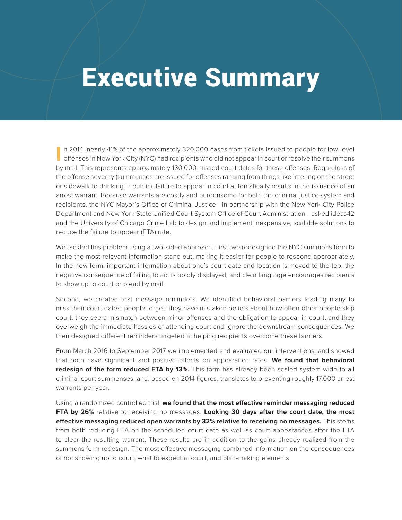# Executive Summary

I**I** n 2014, nearly 41% of the approximately 320,000 cases from tickets issued to people for low-level<br>offenses in New York City (NYC) had recipients who did not appear in court or resolve their summons n 2014, nearly 41% of the approximately 320,000 cases from tickets issued to people for low-level by mail. This represents approximately 130,000 missed court dates for these offenses. Regardless of the offense severity (summonses are issued for offenses ranging from things like littering on the street or sidewalk to drinking in public), failure to appear in court automatically results in the issuance of an arrest warrant. Because warrants are costly and burdensome for both the criminal justice system and recipients, the NYC Mayor's Office of Criminal Justice—in partnership with the New York City Police Department and New York State Unified Court System Office of Court Administration—asked ideas42 and the University of Chicago Crime Lab to design and implement inexpensive, scalable solutions to reduce the failure to appear (FTA) rate.

We tackled this problem using a two-sided approach. First, we redesigned the NYC summons form to make the most relevant information stand out, making it easier for people to respond appropriately. In the new form, important information about one's court date and location is moved to the top, the negative consequence of failing to act is boldly displayed, and clear language encourages recipients to show up to court or plead by mail.

Second, we created text message reminders. We identified behavioral barriers leading many to miss their court dates: people forget, they have mistaken beliefs about how often other people skip court, they see a mismatch between minor offenses and the obligation to appear in court, and they overweigh the immediate hassles of attending court and ignore the downstream consequences. We then designed different reminders targeted at helping recipients overcome these barriers.

From March 2016 to September 2017 we implemented and evaluated our interventions, and showed that both have significant and positive effects on appearance rates. **We found that behavioral redesign of the form reduced FTA by 13%.** This form has already been scaled system-wide to all criminal court summonses, and, based on 2014 figures, translates to preventing roughly 17,000 arrest warrants per year.

Using a randomized controlled trial, **we found that the most effective reminder messaging reduced FTA by 26%** relative to receiving no messages. **Looking 30 days after the court date, the most effective messaging reduced open warrants by 32% relative to receiving no messages.** This stems from both reducing FTA on the scheduled court date as well as court appearances after the FTA to clear the resulting warrant. These results are in addition to the gains already realized from the summons form redesign. The most effective messaging combined information on the consequences of not showing up to court, what to expect at court, and plan-making elements.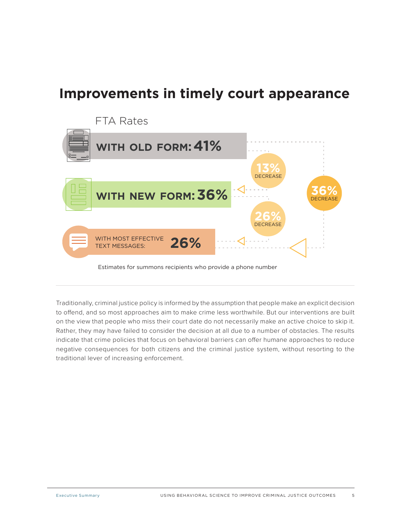### **Improvements in timely court appearance**



Traditionally, criminal justice policy is informed by the assumption that people make an explicit decision to offend, and so most approaches aim to make crime less worthwhile. But our interventions are built on the view that people who miss their court date do not necessarily make an active choice to skip it. Rather, they may have failed to consider the decision at all due to a number of obstacles. The results indicate that crime policies that focus on behavioral barriers can offer humane approaches to reduce negative consequences for both citizens and the criminal justice system, without resorting to the traditional lever of increasing enforcement.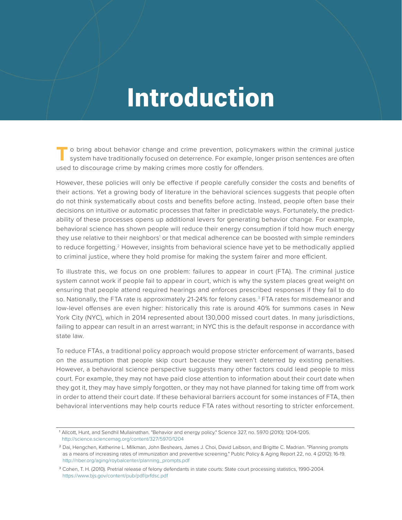# Introduction

**T** o bring about behavior change and crime prevention, policymakers within the criminal justice system have traditionally focused on deterrence. For example, longer prison sentences are often used to discourage crime by making crimes more costly for offenders.

However, these policies will only be effective if people carefully consider the costs and benefits of their actions. Yet a growing body of literature in the behavioral sciences suggests that people often do not think systematically about costs and benefits before acting. Instead, people often base their decisions on intuitive or automatic processes that falter in predictable ways. Fortunately, the predictability of these processes opens up additional levers for generating behavior change. For example, behavioral science has shown people will reduce their energy consumption if told how much energy they use relative to their neighbors<sup>1</sup> or that medical adherence can be boosted with simple reminders to reduce forgetting.<sup>2</sup> However, insights from behavioral science have yet to be methodically applied to criminal justice, where they hold promise for making the system fairer and more efficient.

To illustrate this, we focus on one problem: failures to appear in court (FTA). The criminal justice system cannot work if people fail to appear in court, which is why the system places great weight on ensuring that people attend required hearings and enforces prescribed responses if they fail to do so. Nationally, the FTA rate is approximately 21-24% for felony cases.<sup>3</sup> FTA rates for misdemeanor and low-level offenses are even higher: historically this rate is around 40% for summons cases in New York City (NYC), which in 2014 represented about 130,000 missed court dates. In many jurisdictions, failing to appear can result in an arrest warrant; in NYC this is the default response in accordance with state law.

To reduce FTAs, a traditional policy approach would propose stricter enforcement of warrants, based on the assumption that people skip court because they weren't deterred by existing penalties. However, a behavioral science perspective suggests many other factors could lead people to miss court. For example, they may not have paid close attention to information about their court date when they got it, they may have simply forgotten, or they may not have planned for taking time off from work in order to attend their court date. If these behavioral barriers account for some instances of FTA, then behavioral interventions may help courts reduce FTA rates without resorting to stricter enforcement.

<sup>1</sup>Allcott, Hunt, and Sendhil Mullainathan. "Behavior and energy policy." Science 327, no. 5970 (2010): 1204-1205. <http://science.sciencemag.org/content/327/5970/1204>

<sup>&</sup>lt;sup>2</sup> Dai, Hengchen, Katherine L. Milkman, John Beshears, James J. Choi, David Laibson, and Brigitte C. Madrian. "Planning prompts as a means of increasing rates of immunization and preventive screening." Public Policy & Aging Report 22, no. 4 (2012): 16-19. [http://nber.org/aging/roybalcenter/planning\\_prompts.pdf](http://nber.org/aging/roybalcenter/planning_prompts.pdf)

<sup>&</sup>lt;sup>3</sup> Cohen, T. H. (2010). Pretrial release of felony defendants in state courts: State court processing statistics, 1990-2004. <https://www.bjs.gov/content/pub/pdf/prfdsc.pdf>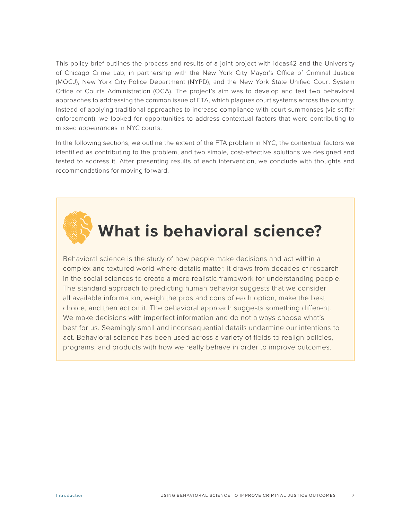This policy brief outlines the process and results of a joint project with ideas42 and the University of Chicago Crime Lab, in partnership with the New York City Mayor's Office of Criminal Justice (MOCJ), New York City Police Department (NYPD), and the New York State Unified Court System Office of Courts Administration (OCA). The project's aim was to develop and test two behavioral approaches to addressing the common issue of FTA, which plagues court systems across the country. Instead of applying traditional approaches to increase compliance with court summonses (via stiffer enforcement), we looked for opportunities to address contextual factors that were contributing to missed appearances in NYC courts.

In the following sections, we outline the extent of the FTA problem in NYC, the contextual factors we identified as contributing to the problem, and two simple, cost-effective solutions we designed and tested to address it. After presenting results of each intervention, we conclude with thoughts and recommendations for moving forward.



## **What is behavioral science?**

Behavioral science is the study of how people make decisions and act within a complex and textured world where details matter. It draws from decades of research in the social sciences to create a more realistic framework for understanding people. The standard approach to predicting human behavior suggests that we consider all available information, weigh the pros and cons of each option, make the best choice, and then act on it. The behavioral approach suggests something different. We make decisions with imperfect information and do not always choose what's best for us. Seemingly small and inconsequential details undermine our intentions to act. Behavioral science has been used across a variety of fields to realign policies, programs, and products with how we really behave in order to improve outcomes.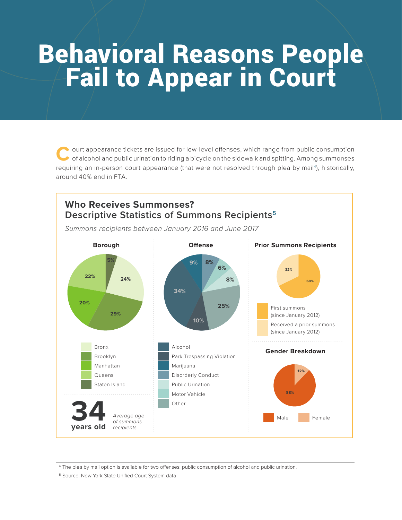# **Behavioral Reasons People<br>
Fail to Appear in Court**

ourt appearance tickets are issued for low-level offenses, which range from public consumption of alcohol and public urination to riding a bicycle on the sidewalk and spitting. Among summonses requiring an in-person court appearance (that were not resolved through plea by mail<sup>4</sup>), historically, around 40% end in FTA.



<sup>4</sup>The plea by mail option is available for two offenses: public consumption of alcohol and public urination.

<sup>5</sup> Source: New York State Unified Court System data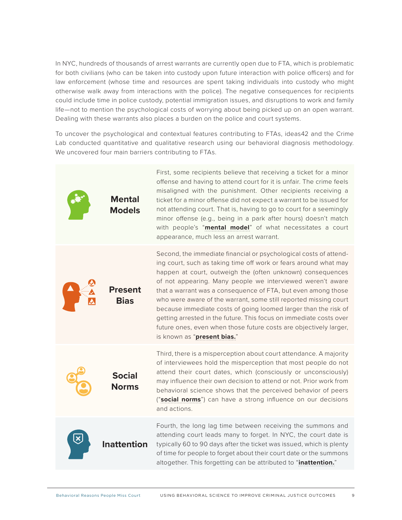In NYC, hundreds of thousands of arrest warrants are currently open due to FTA, which is problematic for both civilians (who can be taken into custody upon future interaction with police officers) and for law enforcement (whose time and resources are spent taking individuals into custody who might otherwise walk away from interactions with the police). The negative consequences for recipients could include time in police custody, potential immigration issues, and disruptions to work and family life—not to mention the psychological costs of worrying about being picked up on an open warrant. Dealing with these warrants also places a burden on the police and court systems.

To uncover the psychological and contextual features contributing to FTAs, ideas42 and the Crime Lab conducted quantitative and qualitative research using our behavioral diagnosis methodology. We uncovered four main barriers contributing to FTAs.

| <b>Mental</b><br><b>Models</b> | First, some recipients believe that receiving a ticket for a minor<br>offense and having to attend court for it is unfair. The crime feels<br>misaligned with the punishment. Other recipients receiving a<br>ticket for a minor offense did not expect a warrant to be issued for<br>not attending court. That is, having to go to court for a seemingly<br>minor offense (e.g., being in a park after hours) doesn't match<br>with people's "mental model" of what necessitates a court<br>appearance, much less an arrest warrant.                                                                                                               |
|--------------------------------|-----------------------------------------------------------------------------------------------------------------------------------------------------------------------------------------------------------------------------------------------------------------------------------------------------------------------------------------------------------------------------------------------------------------------------------------------------------------------------------------------------------------------------------------------------------------------------------------------------------------------------------------------------|
| <b>Present</b><br><b>Bias</b>  | Second, the immediate financial or psychological costs of attend-<br>ing court, such as taking time off work or fears around what may<br>happen at court, outweigh the (often unknown) consequences<br>of not appearing. Many people we interviewed weren't aware<br>that a warrant was a consequence of FTA, but even among those<br>who were aware of the warrant, some still reported missing court<br>because immediate costs of going loomed larger than the risk of<br>getting arrested in the future. This focus on immediate costs over<br>future ones, even when those future costs are objectively larger,<br>is known as "present bias." |
| <b>Social</b><br><b>Norms</b>  | Third, there is a misperception about court attendance. A majority<br>of interviewees hold the misperception that most people do not<br>attend their court dates, which (consciously or unconsciously)<br>may influence their own decision to attend or not. Prior work from<br>behavioral science shows that the perceived behavior of peers<br>("social norms") can have a strong influence on our decisions<br>and actions.                                                                                                                                                                                                                      |
| <b>Inattention</b>             | Fourth, the long lag time between receiving the summons and<br>attending court leads many to forget. In NYC, the court date is<br>typically 60 to 90 days after the ticket was issued, which is plenty<br>of time for people to forget about their court date or the summons<br>altogether. This forgetting can be attributed to "inattention."                                                                                                                                                                                                                                                                                                     |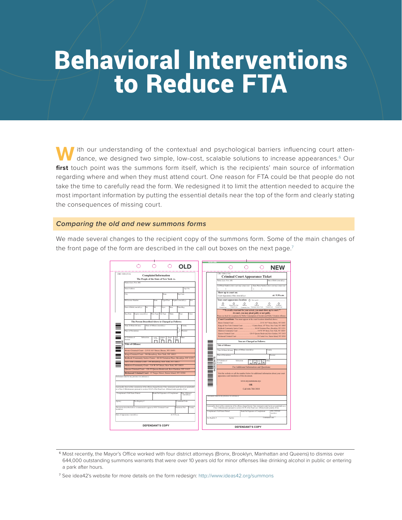# Behavioral Interventions to Reduce FTA

W ith our understanding of the contextual and psychological barriers influencing court atten-<br>dance, we designed two simple, low-cost, scalable solutions to increase appearances.<sup>6</sup> Our **first** touch point was the summons form itself, which is the recipients' main source of information regarding where and when they must attend court. One reason for FTA could be that people do not take the time to carefully read the form. We redesigned it to limit the attention needed to acquire the most important information by putting the essential details near the top of the form and clearly stating the consequences of missing court.

### *Comparing the old and new summons forms*

We made several changes to the recipient copy of the summons form. Some of the main changes of the front page of the form are described in the call out boxes on the next page.<sup>7</sup>



<sup>&</sup>lt;sup>6</sup> Most recently, the Mayor's Office worked with four district attorneys (Bronx, Brooklyn, Manhattan and Queens) to dismiss over 644,000 outstanding summons warrants that were over 10 years old for minor offenses like drinking alcohol in public or entering a park after hours.

<sup>7</sup>See idea42's website for more details on the form redesign:<http://www.ideas42.org/summons>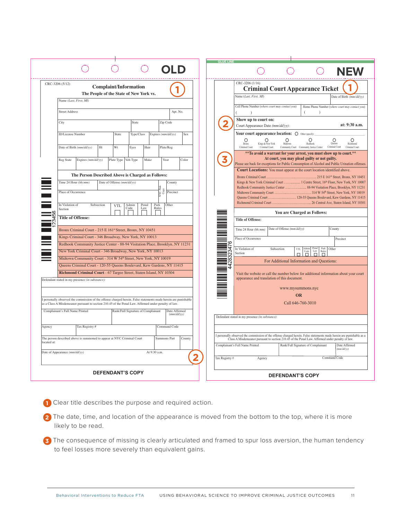|                                                                                                                                                                                                                         | <b>NEW</b>                                                                                                                                                                                                              |
|-------------------------------------------------------------------------------------------------------------------------------------------------------------------------------------------------------------------------|-------------------------------------------------------------------------------------------------------------------------------------------------------------------------------------------------------------------------|
| CRC-3206 (5/12)<br><b>Complaint/Information</b>                                                                                                                                                                         | CRC-3206 (1/16)<br><b>Criminal Court Appearance Ticket</b>                                                                                                                                                              |
| The People of the State of New York vs.                                                                                                                                                                                 | Name (Last, First, MI)<br>Date of Birth (mm/dd/vv)                                                                                                                                                                      |
| Name (Last, First, MI)                                                                                                                                                                                                  |                                                                                                                                                                                                                         |
| <b>Street Address</b><br>Apt. No.                                                                                                                                                                                       | Cell Phone Number (where court may contact you)<br>Home Phone Number (where court may contact you)                                                                                                                      |
| City<br>Zip Code<br>State                                                                                                                                                                                               | Show up to court on:                                                                                                                                                                                                    |
|                                                                                                                                                                                                                         | at: 9:30 a.m.<br>Court Appearance Date (mm/dd/yy):                                                                                                                                                                      |
| ID/License Number<br>State<br>Type/Class<br>Expires (mm/dd/yy)<br>Sex                                                                                                                                                   | Your court appearance location: $\bigcirc$ other (specify)                                                                                                                                                              |
|                                                                                                                                                                                                                         | ∩<br>$\circ$<br>$\circ$<br>O<br>O<br>∩<br>Kings & New York<br>Midtown<br>Redhook<br>Queens<br>Richmond<br>Brom                                                                                                          |
| Date of Birth (mm/dd/yy)<br>Ht<br>Wt<br>Eyes<br>Hair<br>Plate/Reg                                                                                                                                                       | Criminal Com<br>Criminal Court<br>Criminal Court<br>Community Court Community Justice Center<br>Criminal Court<br>** To avoid a warrant for your arrest, you must show up to court.**                                   |
| Color<br>Reg State<br>Expires (mm/dd/yy)<br>Plate Type Veh Type<br>Make<br>Year                                                                                                                                         | At court, you may plead guilty or not guilty.                                                                                                                                                                           |
|                                                                                                                                                                                                                         | Please see back for exceptions for Public Consumption of Alcohol and Public Urination offenses.                                                                                                                         |
| The Person Described Above is Charged as Follows:                                                                                                                                                                       | Court Locations: You must appear at the court location identified above.                                                                                                                                                |
| Time 24 Hour (hh:mm)<br>Date of Offense (mm/dd/yy)<br>County                                                                                                                                                            | Kings & New York Criminal Court  1 Centre Street, 16th Floor, New York, NY 10007                                                                                                                                        |
|                                                                                                                                                                                                                         | Redhook Community Justice Center  88-94 Visitation Place, Brooklyn, NY 11231                                                                                                                                            |
| <b>Copy</b><br>Place of Occurrence<br>Precinct                                                                                                                                                                          | Queens Criminal Court  120-55 Queens Boulevard, Kew Gardens, NY 11415                                                                                                                                                   |
|                                                                                                                                                                                                                         |                                                                                                                                                                                                                         |
| In Violation of<br>Other<br>Subsection<br>Admin<br>Code<br>Penal<br>Park<br>Rules<br><b>VTL</b><br>Law<br>Section                                                                                                       |                                                                                                                                                                                                                         |
| <b>Title of Offense:</b>                                                                                                                                                                                                | You are Charged as Follows:<br><b>Title of Offense:</b>                                                                                                                                                                 |
|                                                                                                                                                                                                                         |                                                                                                                                                                                                                         |
| Bronx Criminal Court - 215 E 161st Street, Bronx, NY 10451                                                                                                                                                              | Date of Offense (mm/dd/yy)<br>Time 24 Hour (hh:mm)<br>County                                                                                                                                                            |
| Kings Criminal Court - 346 Broadway, New York, NY 10013                                                                                                                                                                 | Place of Occurrence<br>Precinct                                                                                                                                                                                         |
| Redhook Community Justice Center - 88-94 Visitation Place, Brooklyn, NY 11231                                                                                                                                           | Park Other<br>In Violation of<br>Subsection                                                                                                                                                                             |
| New York Criminal Court - 346 Broadway, New York, NY 10013                                                                                                                                                              | VTI.<br>$\overline{Code}$<br>$\overline{\Box}$<br>$\overline{\Pi}$<br>Section<br>$\Box$                                                                                                                                 |
| Midtown Community Court - 314 W 54th Street, New York, NY 10019                                                                                                                                                         | 42832<br>For Additional Information and Questions:                                                                                                                                                                      |
| Queens Criminal Court - 120-55 Queens Boulevard, Kew Gardens, NY 11415                                                                                                                                                  |                                                                                                                                                                                                                         |
| Richmond Criminal Court - 67 Targee Street, Staten Island, NY 10304                                                                                                                                                     | Visit the website or call the number below for additional information about your court                                                                                                                                  |
| Defendant stated in my presence (in substance):                                                                                                                                                                         | appearance and translation of this document.                                                                                                                                                                            |
|                                                                                                                                                                                                                         | www.mysummons.nyc                                                                                                                                                                                                       |
|                                                                                                                                                                                                                         | <b>OR</b>                                                                                                                                                                                                               |
| I personally observed the commission of the offense charged herein. False statements made herein are punishable<br>as a Class A Misdemeanor pursuant to section 210.45 of the Penal Law. Affirmed under penalty of law. | Call 646-760-3010                                                                                                                                                                                                       |
| Complainant's Full Name Printed<br>Rank/Full Signature of Complainant<br>Date Affirmed                                                                                                                                  |                                                                                                                                                                                                                         |
| (mm/dd/yy)                                                                                                                                                                                                              | Defendant stated in my presence (in substance):                                                                                                                                                                         |
| Tax Registry #<br>Command Code<br>Agency                                                                                                                                                                                |                                                                                                                                                                                                                         |
|                                                                                                                                                                                                                         |                                                                                                                                                                                                                         |
| The person described above is summoned to appear at NYC Criminal Court<br>County<br>Summons Part                                                                                                                        | I personally observed the commission of the offense charged herein. False statements made herein are punishable as a<br>Class A Misdemeanor pursuant to section 210.45 of the Penal Law. Affirmed under penalty of law. |
| located at:                                                                                                                                                                                                             | Date Affirmed<br>Complainant's Full Name Printed<br>Rank/Full Signature of Complainant                                                                                                                                  |
| At 9:30 a.m.<br>Date of Appearance (mm/dd/yy)                                                                                                                                                                           | mm/dd/yy)                                                                                                                                                                                                               |
|                                                                                                                                                                                                                         | Command Code<br>Tax Registry #<br>Agency                                                                                                                                                                                |
|                                                                                                                                                                                                                         |                                                                                                                                                                                                                         |
| <b>DEFENDANT'S COPY</b>                                                                                                                                                                                                 | <b>DEFENDANT'S COPY</b>                                                                                                                                                                                                 |

**1** Clear title describes the purpose and required action.

2 The date, time, and location of the appearance is moved from the bottom to the top, where it is more likely to be read.

**3** The consequence of missing is clearly articulated and framed to spur loss aversion, the human tendency to feel losses more severely than equivalent gains.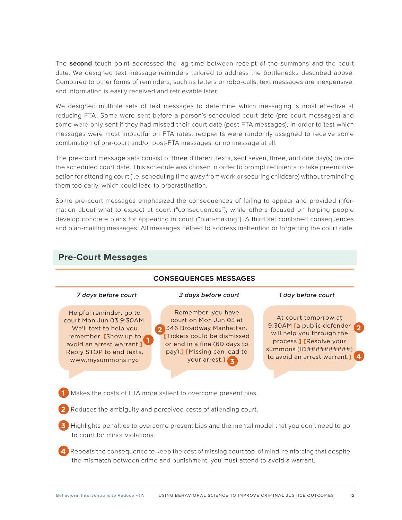The **second** touch point addressed the lag time between receipt of the summons and the court date. We designed text message reminders tailored to address the bottlenecks described above. Compared to other forms of reminders, such as letters or robo-calls, text messages are inexpensive, and information is easily received and retrievable later.

We designed multiple sets of text messages to determine which messaging is most effective at reducing FTA. Some were sent before a person's scheduled court date (pre-court messages) and some were only sent if they had missed their court date (post-FTA messages). In order to test which messages were most impactful on FTA rates, recipients were randomly assigned to receive some combination of pre-court and/or post-FTA messages, or no message at all.

The pre-court message sets consist of three different texts, sent seven, three, and one day(s) before the scheduled court date. This schedule was chosen in order to prompt recipients to take preemptive action for attending court (i.e. scheduling time away from work or securing childcare) without reminding them too early, which could lead to procrastination.

Some pre-court messages emphasized the consequences of failing to appear and provided information about what to expect at court ("consequences"), while others focused on helping people develop concrete plans for appearing in court ("plan-making"). A third set combined consequences and plan-making messages. All messages helped to address inattention or forgetting the court date.



### **Pre-Court Messages**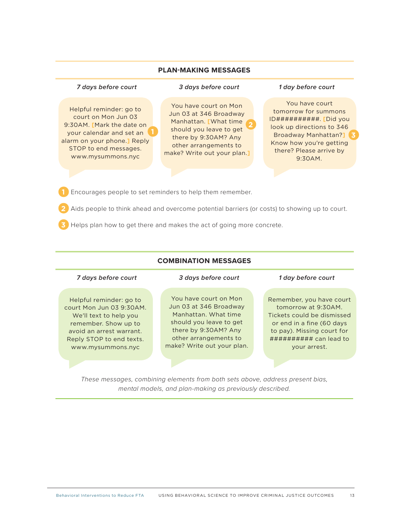### **PLAN-MAKING MESSAGES**

### *7 days before court 3 days before court 1 day before court*

Helpful reminder: go to court on Mon Jun 03 9:30AM. **[**Mark the date on your calendar and set an alarm on your phone.**]** Reply STOP to end messages. www.mysummons.nyc

You have court on Mon Jun 03 at 346 Broadway Manhattan. **[**What time should you leave to get there by 9:30AM? Any other arrangements to make? Write out your plan.**] 2**

You have court tomorrow for summons ID##########. **[**Did you look up directions to 346 Broadway Manhattan?**] 3** Know how you're getting there? Please arrive by 9:30AM.

**1** Encourages people to set reminders to help them remember.

- **2** Aids people to think ahead and overcome potential barriers (or costs) to showing up to court.
- **3** Helps plan how to get there and makes the act of going more concrete.

### **COMBINATION MESSAGES**

### *7 days before court 3 days before court 1 day before court*

Helpful reminder: go to court Mon Jun 03 9:30AM. We'll text to help you remember. Show up to avoid an arrest warrant. Reply STOP to end texts. www.mysummons.nyc

You have court on Mon Jun 03 at 346 Broadway Manhattan. What time should you leave to get there by 9:30AM? Any other arrangements to make? Write out your plan.

Remember, you have court tomorrow at 9:30AM. Tickets could be dismissed or end in a fine (60 days to pay). Missing court for ########## can lead to your arrest.

*These messages, combining elements from both sets above, address present bias, mental models, and plan-making as previously described.*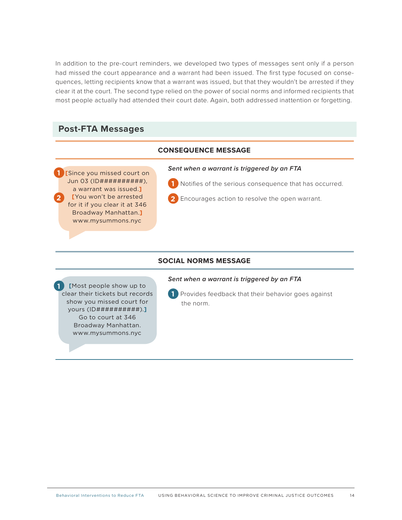In addition to the pre-court reminders, we developed two types of messages sent only if a person had missed the court appearance and a warrant had been issued. The first type focused on consequences, letting recipients know that a warrant was issued, but that they wouldn't be arrested if they clear it at the court. The second type relied on the power of social norms and informed recipients that most people actually had attended their court date. Again, both addressed inattention or forgetting.

### **Post-FTA Messages**

### **CONSEQUENCE MESSAGE**

**[**Since you missed court on Jun 03 (ID##########), a warrant was issued.**] [**You won't be arrested for it if you clear it at 346 Broadway Manhattan.**]** www.mysummons.nyc **1 2**

### *Sent when a warrant is triggered by an FTA*

**1** Notifies of the serious consequence that has occurred.

**2** Encourages action to resolve the open warrant.

### **SOCIAL NORMS MESSAGE**

**[**Most people show up to clear their tickets but records show you missed court for yours (ID##########).**]** Go to court at 346 Broadway Manhattan. www.mysummons.nyc **1**

**1** Provides feedback that their behavior goes against the norm.

*Sent when a warrant is triggered by an FTA*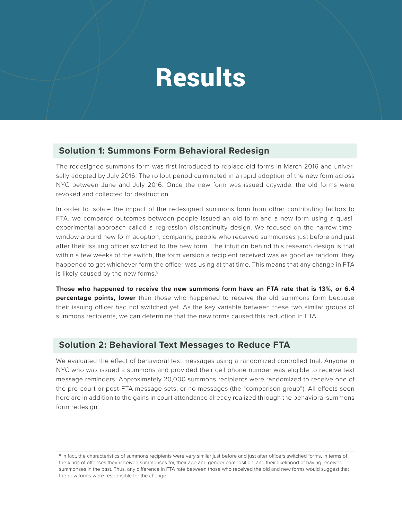# **Results**

### **Solution 1: Summons Form Behavioral Redesign**

The redesigned summons form was first introduced to replace old forms in March 2016 and universally adopted by July 2016. The rollout period culminated in a rapid adoption of the new form across NYC between June and July 2016. Once the new form was issued citywide, the old forms were revoked and collected for destruction.

In order to isolate the impact of the redesigned summons form from other contributing factors to FTA, we compared outcomes between people issued an old form and a new form using a quasiexperimental approach called a regression discontinuity design. We focused on the narrow timewindow around new form adoption, comparing people who received summonses just before and just after their issuing officer switched to the new form. The intuition behind this research design is that within a few weeks of the switch, the form version a recipient received was as good as random: they happened to get whichever form the officer was using at that time. This means that any change in FTA is likely caused by the new forms.<sup>8</sup>

**Those who happened to receive the new summons form have an FTA rate that is 13%, or 6.4 percentage points, lower** than those who happened to receive the old summons form because their issuing officer had not switched yet. As the key variable between these two similar groups of summons recipients, we can determine that the new forms caused this reduction in FTA.

### **Solution 2: Behavioral Text Messages to Reduce FTA**

We evaluated the effect of behavioral text messages using a randomized controlled trial. Anyone in NYC who was issued a summons and provided their cell phone number was eligible to receive text message reminders. Approximately 20,000 summons recipients were randomized to receive one of the pre-court or post-FTA message sets, or no messages (the "comparison group"). All effects seen here are in addition to the gains in court attendance already realized through the behavioral summons form redesign.

<sup>&</sup>lt;sup>8</sup> In fact, the characteristics of summons recipients were very similar just before and just after officers switched forms, in terms of the kinds of offenses they received summonses for, their age and gender composition, and their likelihood of having received summonses in the past. Thus, any difference in FTA rate between those who received the old and new forms would suggest that the new forms were responsible for the change.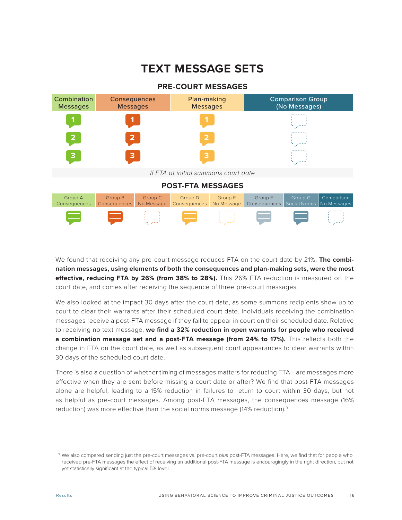### **TEXT MESSAGE SETS**



We found that receiving any pre-court message reduces FTA on the court date by 21%. **The combination messages, using elements of both the consequences and plan-making sets, were the most effective, reducing FTA by 26% (from 38% to 28%).** This 26% FTA reduction is measured on the court date, and comes after receiving the sequence of three pre-court messages.

We also looked at the impact 30 days after the court date, as some summons recipients show up to court to clear their warrants after their scheduled court date. Individuals receiving the combination messages receive a post-FTA message if they fail to appear in court on their scheduled date. Relative to receiving no text message, **we find a 32% reduction in open warrants for people who received a combination message set and a post-FTA message (from 24% to 17%).** This reflects both the change in FTA on the court date, as well as subsequent court appearances to clear warrants within 30 days of the scheduled court date.

There is also a question of whether timing of messages matters for reducing FTA—are messages more effective when they are sent before missing a court date or after? We find that post-FTA messages alone are helpful, leading to a 15% reduction in failures to return to court within 30 days, but not as helpful as pre-court messages. Among post-FTA messages, the consequences message (16% reduction) was more effective than the social norms message (14% reduction).<sup>9</sup>

<sup>9</sup>We also compared sending just the pre-court messages vs. pre-court *plus* post-FTA messages. Here, we find that for people who received pre-FTA messages the effect of receiving an additional post-FTA message is encouragingly in the right direction, but not yet statistically significant at the typical 5% level.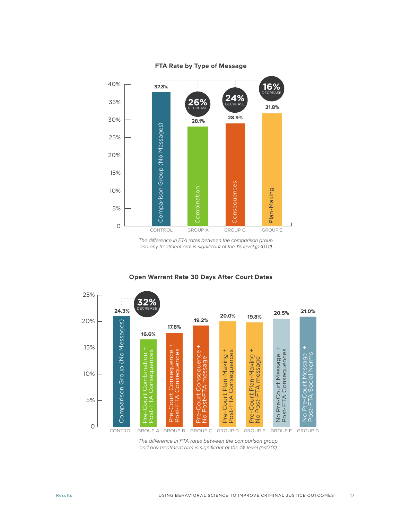

### **FTA Rate by Type of Message**

The difference in FTA rates between the comparison group and any treatment arm is significant at the 1% level (p<0.01)



### **Open Warrant Rate 30 Days After Court Dates**

The difference in FTA rates between the comparison group and any treatment arm is significant at the 1% level (p<0.01)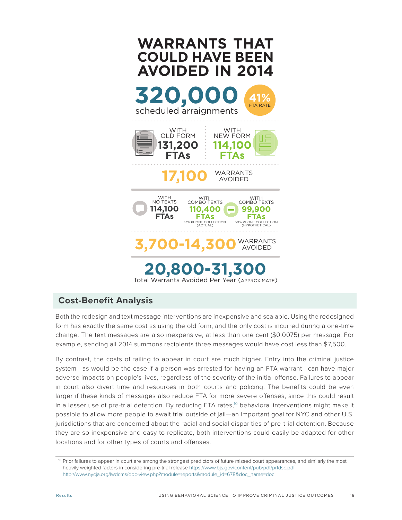

### **Cost-Benefit Analysis**

Both the redesign and text message interventions are inexpensive and scalable. Using the redesigned form has exactly the same cost as using the old form, and the only cost is incurred during a one-time change. The text messages are also inexpensive, at less than one cent (\$0.0075) per message. For example, sending all 2014 summons recipients three messages would have cost less than \$7,500.

By contrast, the costs of failing to appear in court are much higher. Entry into the criminal justice system—as would be the case if a person was arrested for having an FTA warrant—can have major adverse impacts on people's lives, regardless of the severity of the initial offense. Failures to appear in court also divert time and resources in both courts and policing. The benefits could be even larger if these kinds of messages also reduce FTA for more severe offenses, since this could result in a lesser use of pre-trial detention. By reducing FTA rates,<sup>10</sup> behavioral interventions might make it possible to allow more people to await trial outside of jail—an important goal for NYC and other U.S. jurisdictions that are concerned about the racial and social disparities of pre-trial detention. Because they are so inexpensive and easy to replicate, both interventions could easily be adapted for other locations and for other types of courts and offenses.

<sup>10</sup> Prior failures to appear in court are among the strongest predictors of future missed court appearances, and similarly the most heavily weighted factors in considering pre-trial release<https://www.bjs.gov/content/pub/pdf/prfdsc.pdf> [http://www.nycja.org/lwdcms/doc-view.php?module=reports&module\\_id=678&doc\\_name=doc](http://www.nycja.org/lwdcms/doc-view.php?module=reports&module_id=678&doc_name=doc)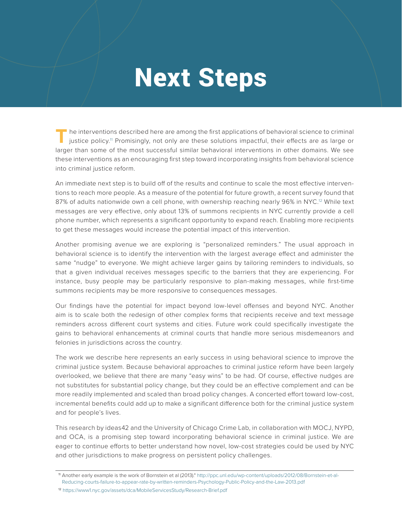# Next Steps

The interventions described here are among the first applications of behavioral science to criminal justice policy.<sup>11</sup> Promisingly, not only are these solutions impactful, their effects are as large or larger than some of the most successful similar behavioral interventions in other domains. We see these interventions as an encouraging first step toward incorporating insights from behavioral science into criminal justice reform.

An immediate next step is to build off of the results and continue to scale the most effective interventions to reach more people. As a measure of the potential for future growth, a recent survey found that 87% of adults nationwide own a cell phone, with ownership reaching nearly 96% in NYC.<sup>12</sup> While text messages are very effective, only about 13% of summons recipients in NYC currently provide a cell phone number, which represents a significant opportunity to expand reach. Enabling more recipients to get these messages would increase the potential impact of this intervention.

Another promising avenue we are exploring is "personalized reminders." The usual approach in behavioral science is to identify the intervention with the largest average effect and administer the same "nudge" to everyone. We might achieve larger gains by tailoring reminders to individuals, so that a given individual receives messages specific to the barriers that they are experiencing. For instance, busy people may be particularly responsive to plan-making messages, while first-time summons recipients may be more responsive to consequences messages.

Our findings have the potential for impact beyond low-level offenses and beyond NYC. Another aim is to scale both the redesign of other complex forms that recipients receive and text message reminders across different court systems and cities. Future work could specifically investigate the gains to behavioral enhancements at criminal courts that handle more serious misdemeanors and felonies in jurisdictions across the country.

The work we describe here represents an early success in using behavioral science to improve the criminal justice system. Because behavioral approaches to criminal justice reform have been largely overlooked, we believe that there are many "easy wins" to be had. Of course, effective nudges are not substitutes for substantial policy change, but they could be an effective complement and can be more readily implemented and scaled than broad policy changes. A concerted effort toward low-cost, incremental benefits could add up to make a significant difference both for the criminal justice system and for people's lives.

This research by ideas42 and the University of Chicago Crime Lab, in collaboration with MOCJ, NYPD, and OCA, is a promising step toward incorporating behavioral science in criminal justice. We are eager to continue efforts to better understand how novel, low-cost strategies could be used by NYC and other jurisdictions to make progress on persistent policy challenges.

<sup>11</sup> Another early example is the work of Bornstein et al (2013)." [http://ppc.unl.edu/wp-content/uploads/2012/08/Bornstein-et-al-](http://ppc.unl.edu/wp-content/uploads/2012/08/Bornstein-et-al-Reducing-courts-failure-to-appear-rate-by-written-reminders-Psychology-Public-Policy-and-the-Law-2013.pdf)[Reducing-courts-failure-to-appear-rate-by-written-reminders-Psychology-Public-Policy-and-the-Law-2013.pdf](http://ppc.unl.edu/wp-content/uploads/2012/08/Bornstein-et-al-Reducing-courts-failure-to-appear-rate-by-written-reminders-Psychology-Public-Policy-and-the-Law-2013.pdf)

<sup>12</sup> <https://www1.nyc.gov/assets/dca/MobileServicesStudy/Research-Brief.pdf>